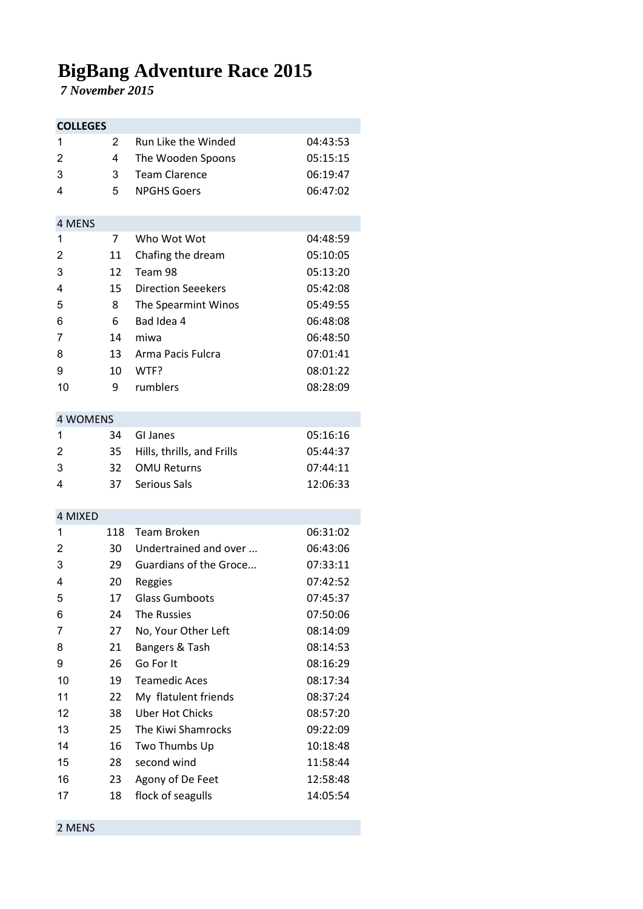## **BigBang Adventure Race 2015**

 *7 November 2015*

| <b>COLLEGES</b>         |     |                            |          |  |  |
|-------------------------|-----|----------------------------|----------|--|--|
| 1                       | 2   | Run Like the Winded        | 04:43:53 |  |  |
| $\overline{2}$          | 4   | The Wooden Spoons          | 05:15:15 |  |  |
| 3                       | 3   | <b>Team Clarence</b>       | 06:19:47 |  |  |
| 4                       | 5   | <b>NPGHS Goers</b>         | 06:47:02 |  |  |
|                         |     |                            |          |  |  |
| 4 MENS                  |     |                            |          |  |  |
| 1                       | 7   | Who Wot Wot                | 04:48:59 |  |  |
| $\overline{2}$          | 11  | Chafing the dream          | 05:10:05 |  |  |
| 3                       | 12  | Team 98                    | 05:13:20 |  |  |
| 4                       | 15  | <b>Direction Seeekers</b>  | 05:42:08 |  |  |
| 5                       | 8   | The Spearmint Winos        | 05:49:55 |  |  |
| 6                       | 6   | Bad Idea 4                 | 06:48:08 |  |  |
| 7                       | 14  | miwa                       | 06:48:50 |  |  |
| 8                       | 13  | Arma Pacis Fulcra          | 07:01:41 |  |  |
| 9                       | 10  | WTF?                       | 08:01:22 |  |  |
| 10                      | 9   | rumblers                   | 08:28:09 |  |  |
|                         |     |                            |          |  |  |
| <b>4 WOMENS</b>         |     |                            |          |  |  |
| 1                       | 34  | GI Janes                   | 05:16:16 |  |  |
| $\overline{c}$          | 35  | Hills, thrills, and Frills | 05:44:37 |  |  |
| 3                       | 32  | <b>OMU Returns</b>         | 07:44:11 |  |  |
| 4                       | 37  | Serious Sals               | 12:06:33 |  |  |
|                         |     |                            |          |  |  |
| 4 MIXED                 |     |                            |          |  |  |
| 1                       | 118 | <b>Team Broken</b>         | 06:31:02 |  |  |
| $\overline{2}$          | 30  | Undertrained and over      | 06:43:06 |  |  |
| 3                       | 29  | Guardians of the Groce     | 07:33:11 |  |  |
| $\overline{\mathbf{4}}$ | 20  | Reggies                    | 07:42:52 |  |  |
| 5                       | 17  | <b>Glass Gumboots</b>      | 07:45:37 |  |  |
| 6                       | 24  | <b>The Russies</b>         | 07:50:06 |  |  |
| 7                       | 27  | No, Your Other Left        | 08:14:09 |  |  |
| 8                       | 21  | Bangers & Tash             | 08:14:53 |  |  |
| 9                       | 26  | Go For It                  | 08:16:29 |  |  |
| 10                      | 19  | <b>Teamedic Aces</b>       | 08:17:34 |  |  |
| 11                      | 22  | My flatulent friends       | 08:37:24 |  |  |
| 12                      | 38  | <b>Uber Hot Chicks</b>     | 08:57:20 |  |  |
| 13                      | 25  | The Kiwi Shamrocks         | 09:22:09 |  |  |
| 14                      | 16  | Two Thumbs Up              | 10:18:48 |  |  |
| 15                      | 28  | second wind                | 11:58:44 |  |  |
| 16                      | 23  | Agony of De Feet           | 12:58:48 |  |  |
| 17                      | 18  | flock of seagulls          | 14:05:54 |  |  |